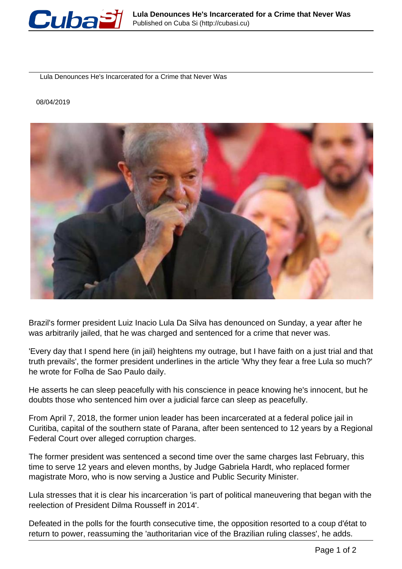

Lula Denounces He's Incarcerated for a Crime that Never Was

08/04/2019



Brazil's former president Luiz Inacio Lula Da Silva has denounced on Sunday, a year after he was arbitrarily jailed, that he was charged and sentenced for a crime that never was.

'Every day that I spend here (in jail) heightens my outrage, but I have faith on a just trial and that truth prevails', the former president underlines in the article 'Why they fear a free Lula so much?' he wrote for Folha de Sao Paulo daily.

He asserts he can sleep peacefully with his conscience in peace knowing he's innocent, but he doubts those who sentenced him over a judicial farce can sleep as peacefully.

From April 7, 2018, the former union leader has been incarcerated at a federal police jail in Curitiba, capital of the southern state of Parana, after been sentenced to 12 years by a Regional Federal Court over alleged corruption charges.

The former president was sentenced a second time over the same charges last February, this time to serve 12 years and eleven months, by Judge Gabriela Hardt, who replaced former magistrate Moro, who is now serving a Justice and Public Security Minister.

Lula stresses that it is clear his incarceration 'is part of political maneuvering that began with the reelection of President Dilma Rousseff in 2014'.

Defeated in the polls for the fourth consecutive time, the opposition resorted to a coup d'état to return to power, reassuming the 'authoritarian vice of the Brazilian ruling classes', he adds.